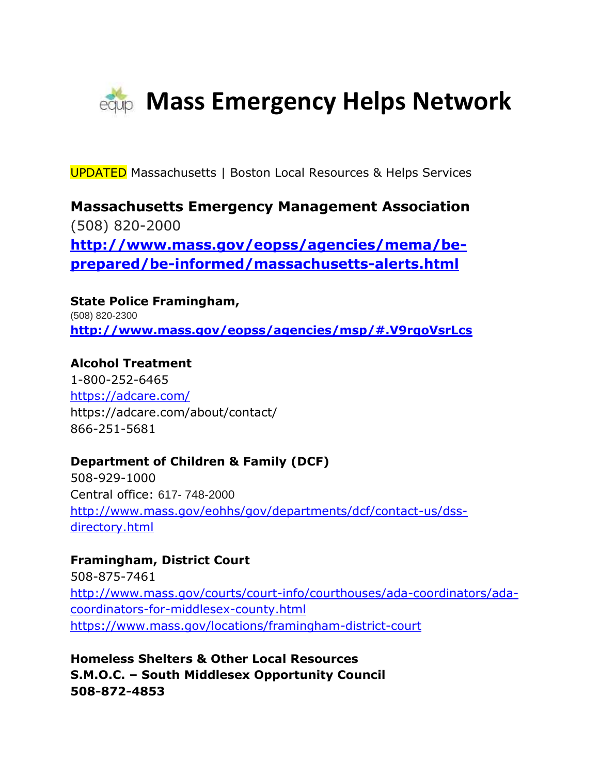

UPDATED Massachusetts | Boston Local Resources & Helps Services

**Massachusetts Emergency Management Association** (508) 820-2000 **[http://www.mass.gov/eopss/agencies/mema/be](http://www.mass.gov/eopss/agencies/mema/be-prepared/be-informed/massachusetts-alerts.html)[prepared/be-informed/massachusetts-alerts.html](http://www.mass.gov/eopss/agencies/mema/be-prepared/be-informed/massachusetts-alerts.html)**

**State Police Framingham,**  (508) 820-2300 **<http://www.mass.gov/eopss/agencies/msp/#.V9rqoVsrLcs>**

**Alcohol Treatment** 1-800-252-6465 <https://adcare.com/> https://adcare.com/about/contact/ 866-251-5681

# **Department of Children & Family (DCF)**

508-929-1000 Central office: 617- 748-2000 [http://www.mass.gov/eohhs/gov/departments/dcf/contact-us/dss](http://www.mass.gov/eohhs/gov/departments/dcf/contact-us/dss-directory.html)[directory.html](http://www.mass.gov/eohhs/gov/departments/dcf/contact-us/dss-directory.html)

**Framingham, District Court** 508-875-7461 [http://www.mass.gov/courts/court-info/courthouses/ada-coordinators/ada](http://www.mass.gov/courts/court-info/courthouses/ada-coordinators/ada-coordinators-for-middlesex-county.html)[coordinators-for-middlesex-county.html](http://www.mass.gov/courts/court-info/courthouses/ada-coordinators/ada-coordinators-for-middlesex-county.html) https://www.mass.gov/locations/framingham-district-court

**Homeless Shelters & Other Local Resources S.M.O.C. – South Middlesex Opportunity Council 508-872-4853**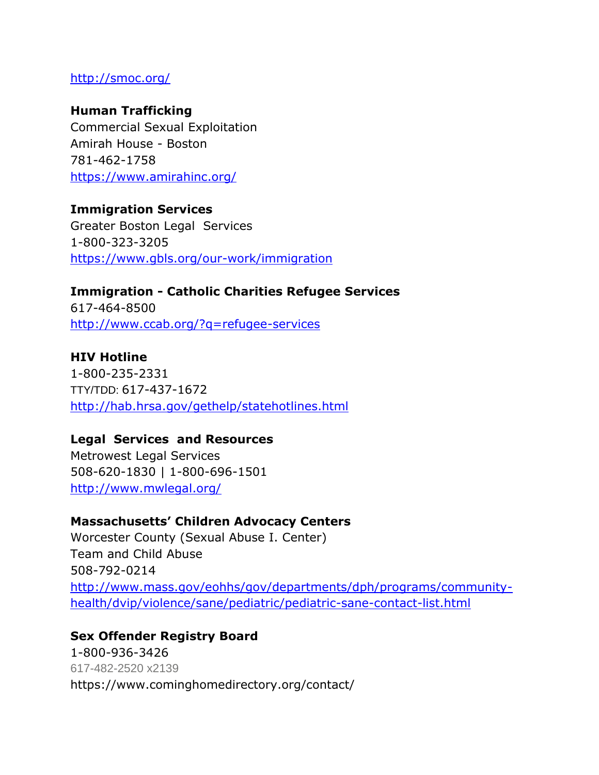## <http://smoc.org/>

### **Human Trafficking**

Commercial Sexual Exploitation Amirah House - Boston 781-462-1758 <https://www.amirahinc.org/>

#### **Immigration Services**

Greater Boston Legal Services 1-800-323-3205 <https://www.gbls.org/our-work/immigration>

**Immigration - Catholic Charities Refugee Services** 617-464-8500 <http://www.ccab.org/?q=refugee-services>

## **HIV Hotline**

1-800-235-2331 TTY/TDD: 617-437-1672 <http://hab.hrsa.gov/gethelp/statehotlines.html>

#### **Legal Services and Resources**

Metrowest Legal Services 508-620-1830 | 1-800-696-1501 <http://www.mwlegal.org/>

## **Massachusetts' Children Advocacy Centers**

Worcester County (Sexual Abuse I. Center) Team and Child Abuse 508-792-0214 [http://www.mass.gov/eohhs/gov/departments/dph/programs/community](http://www.mass.gov/eohhs/gov/departments/dph/programs/community-health/dvip/violence/sane/pediatric/pediatric-sane-contact-list.html)[health/dvip/violence/sane/pediatric/pediatric-sane-contact-list.html](http://www.mass.gov/eohhs/gov/departments/dph/programs/community-health/dvip/violence/sane/pediatric/pediatric-sane-contact-list.html)

# **Sex Offender Registry Board** 1-800-936-3426 617-482-2520 x2139 https://www.cominghomedirectory.org/contact/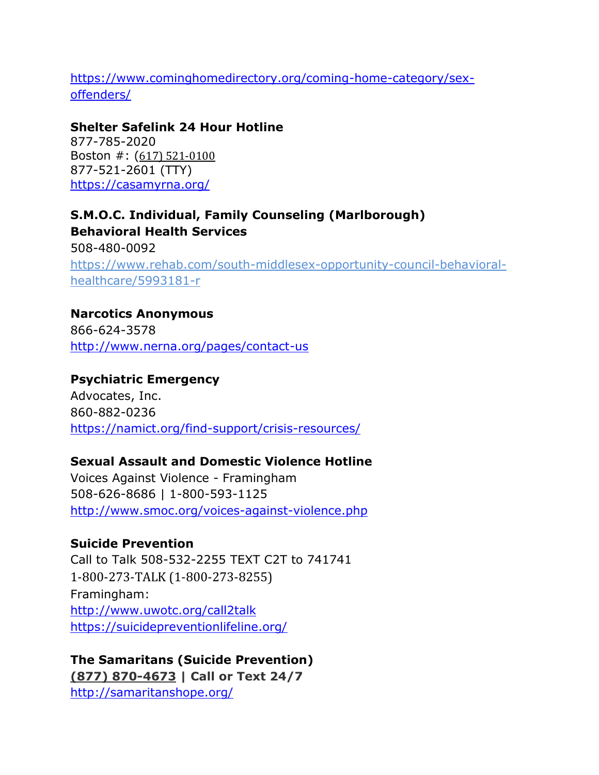https://www.cominghomedirectory.org/coming-home-category/sexoffenders/

## **Shelter Safelink 24 Hour Hotline**

877-785-2020 Boston #: ([617\) 521-0100](tel:1-617-521-0100) 877-521-2601 (TTY) https://casamyrna.org/

**S.M.O.C. Individual, Family Counseling (Marlborough) Behavioral Health Services** 508-480-0092 [https://www.rehab.com/south-middlesex-opportunity-council-behavioral](https://www.rehab.com/south-middlesex-opportunity-council-behavioral-healthcare/5993181-r)[healthcare/5993181-r](https://www.rehab.com/south-middlesex-opportunity-council-behavioral-healthcare/5993181-r)

**Narcotics Anonymous** 866-624-3578 <http://www.nerna.org/pages/contact-us>

## **Psychiatric Emergency**

Advocates, Inc. 860-882-0236 https://namict.org/find-support/crisis-resources/

# **Sexual Assault and Domestic Violence Hotline**

Voices Against Violence - Framingham 508-626-8686 | 1-800-593-1125 <http://www.smoc.org/voices-against-violence.php>

# **Suicide Prevention**

Call to Talk 508-532-2255 TEXT C2T to 741741 1-800-273-TALK (1-800-273-8255) Framingham: <http://www.uwotc.org/call2talk> <https://suicidepreventionlifeline.org/>

**The Samaritans (Suicide Prevention) [\(877\) 870-4673](tel:8778704673) | Call or Text 24/7** <http://samaritanshope.org/>